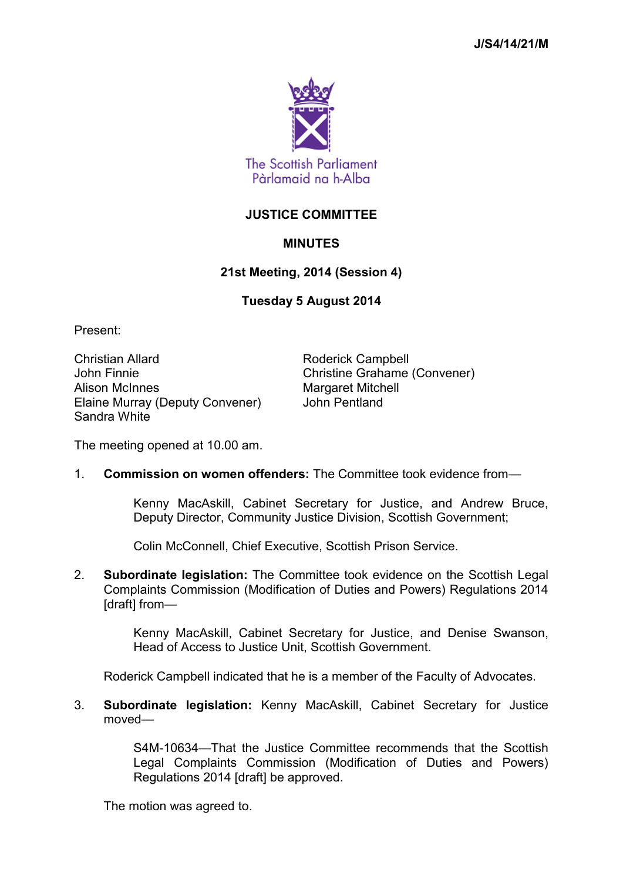

## **JUSTICE COMMITTEE**

## **MINUTES**

## **21st Meeting, 2014 (Session 4)**

## **Tuesday 5 August 2014**

Present:

Christian Allard **Roderick Campbell** John Finnie Christine Grahame (Convener) Alison McInnes Margaret Mitchell Elaine Murray (Deputy Convener) John Pentland Sandra White

The meeting opened at 10.00 am.

1. **Commission on women offenders:** The Committee took evidence from—

Kenny MacAskill, Cabinet Secretary for Justice, and Andrew Bruce, Deputy Director, Community Justice Division, Scottish Government;

Colin McConnell, Chief Executive, Scottish Prison Service.

2. **Subordinate legislation:** The Committee took evidence on the Scottish Legal Complaints Commission (Modification of Duties and Powers) Regulations 2014 [draft] from—

> Kenny MacAskill, Cabinet Secretary for Justice, and Denise Swanson, Head of Access to Justice Unit, Scottish Government.

Roderick Campbell indicated that he is a member of the Faculty of Advocates.

3. **Subordinate legislation:** Kenny MacAskill, Cabinet Secretary for Justice moved—

> S4M-10634—That the Justice Committee recommends that the Scottish Legal Complaints Commission (Modification of Duties and Powers) Regulations 2014 [draft] be approved.

The motion was agreed to.